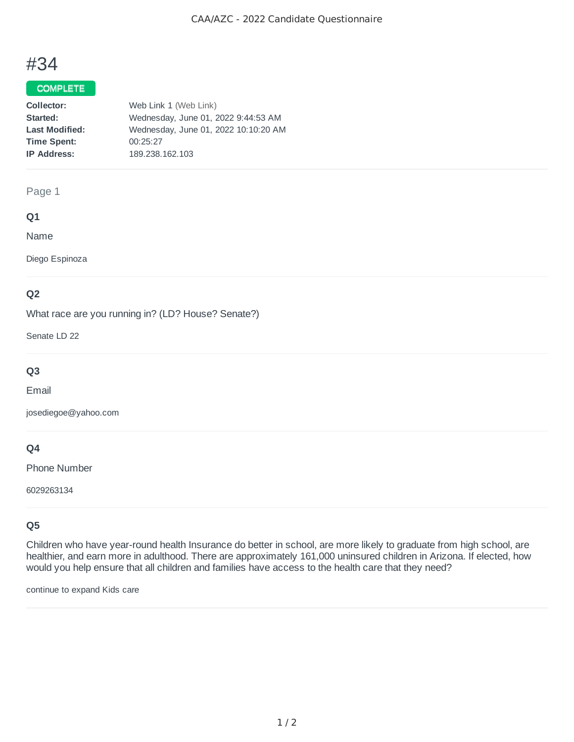# #34

# COMPLETE

| Web Link 1 (Web Link)                |
|--------------------------------------|
| Wednesday, June 01, 2022 9:44:53 AM  |
| Wednesday, June 01, 2022 10:10:20 AM |
| 00:25:27                             |
| 189.238.162.103                      |
|                                      |

## Page 1

## **Q1**

Name

Diego Espinoza

# **Q2**

What race are you running in? (LD? House? Senate?)

Senate LD 22

# **Q3**

Email

josediegoe@yahoo.com

# **Q4**

Phone Number

6029263134

# **Q5**

Children who have year-round health Insurance do better in school, are more likely to graduate from high school, are healthier, and earn more in adulthood. There are approximately 161,000 uninsured children in Arizona. If elected, how would you help ensure that all children and families have access to the health care that they need?

continue to expand Kids care